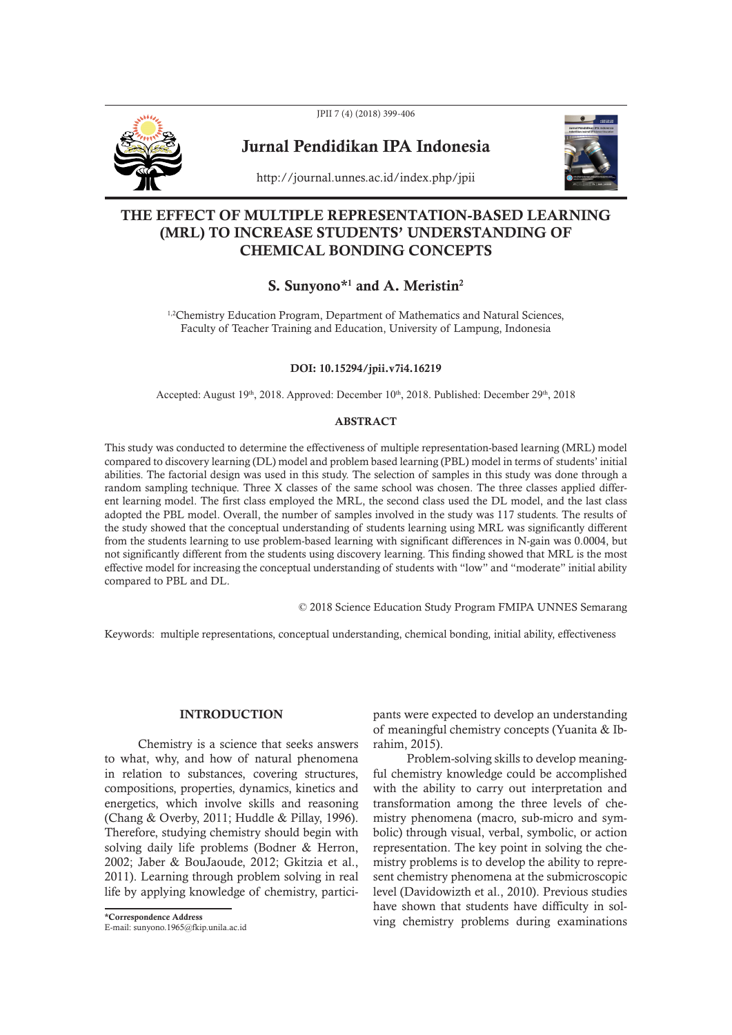

JPII 7 (4) (2018) 399-406

# Jurnal Pendidikan IPA Indonesia



http://journal.unnes.ac.id/index.php/jpii

## THE EFFECT OF MULTIPLE REPRESENTATION-BASED LEARNING (MRL) TO INCREASE STUDENTS' UNDERSTANDING OF CHEMICAL BONDING CONCEPTS

# S. Sunyono\*<sup>1</sup> and A. Meristin<sup>2</sup>

<sup>1,2</sup>Chemistry Education Program, Department of Mathematics and Natural Sciences, Faculty of Teacher Training and Education, University of Lampung, Indonesia

DOI: 10.15294/jpii.v7i4.16219

Accepted: August 19<sup>th</sup>, 2018. Approved: December 10<sup>th</sup>, 2018. Published: December 29<sup>th</sup>, 2018

## ABSTRACT

This study was conducted to determine the effectiveness of multiple representation-based learning (MRL) model compared to discovery learning (DL) model and problem based learning (PBL) model in terms of students' initial abilities. The factorial design was used in this study. The selection of samples in this study was done through a random sampling technique. Three X classes of the same school was chosen. The three classes applied different learning model. The first class employed the MRL, the second class used the DL model, and the last class adopted the PBL model. Overall, the number of samples involved in the study was 117 students. The results of the study showed that the conceptual understanding of students learning using MRL was significantly different from the students learning to use problem-based learning with significant differences in N-gain was 0.0004, but not significantly different from the students using discovery learning. This finding showed that MRL is the most effective model for increasing the conceptual understanding of students with "low" and "moderate" initial ability compared to PBL and DL.

© 2018 Science Education Study Program FMIPA UNNES Semarang

Keywords: multiple representations, conceptual understanding, chemical bonding, initial ability, effectiveness

## INTRODUCTION

Chemistry is a science that seeks answers to what, why, and how of natural phenomena in relation to substances, covering structures, compositions, properties, dynamics, kinetics and energetics, which involve skills and reasoning (Chang & Overby, 2011; Huddle & Pillay, 1996). Therefore, studying chemistry should begin with solving daily life problems (Bodner & Herron, 2002; Jaber & BouJaoude, 2012; Gkitzia et al., 2011). Learning through problem solving in real life by applying knowledge of chemistry, partici-

pants were expected to develop an understanding of meaningful chemistry concepts (Yuanita & Ibrahim, 2015).

Problem-solving skills to develop meaningful chemistry knowledge could be accomplished with the ability to carry out interpretation and transformation among the three levels of chemistry phenomena (macro, sub-micro and symbolic) through visual, verbal, symbolic, or action representation. The key point in solving the chemistry problems is to develop the ability to represent chemistry phenomena at the submicroscopic level (Davidowizth et al., 2010). Previous studies have shown that students have difficulty in solving chemistry problems during examinations \*Correspondence Address

E-mail: sunyono.1965@fkip.unila.ac.id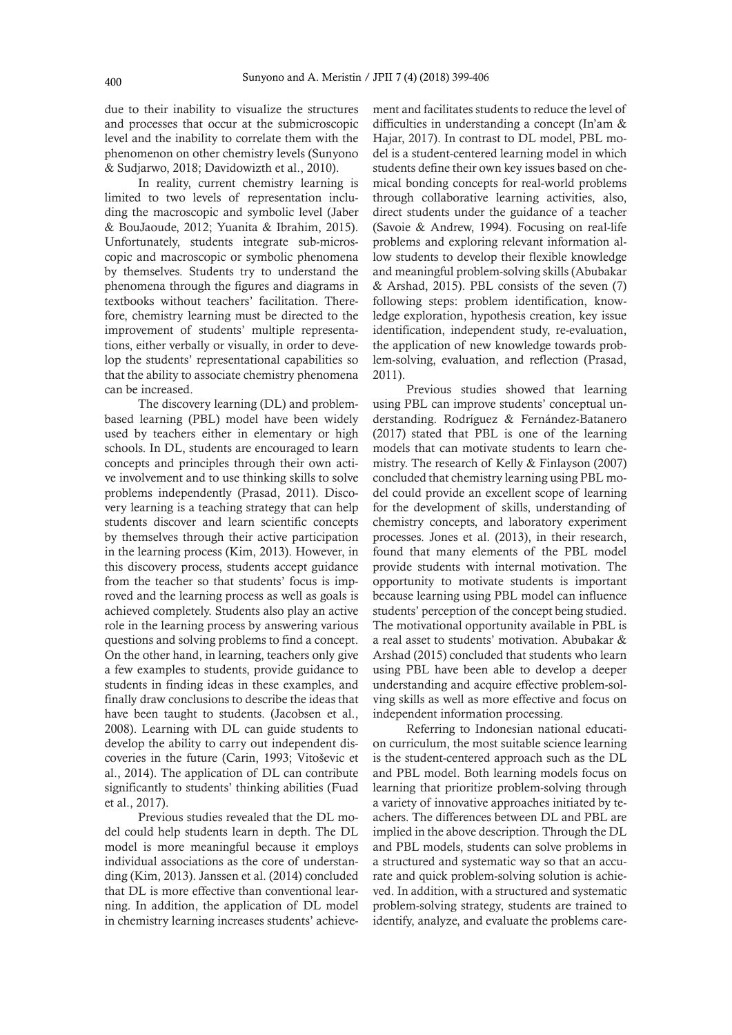due to their inability to visualize the structures and processes that occur at the submicroscopic level and the inability to correlate them with the phenomenon on other chemistry levels (Sunyono & Sudjarwo, 2018; Davidowizth et al., 2010).

In reality, current chemistry learning is limited to two levels of representation including the macroscopic and symbolic level (Jaber & BouJaoude, 2012; Yuanita & Ibrahim, 2015). Unfortunately, students integrate sub-microscopic and macroscopic or symbolic phenomena by themselves. Students try to understand the phenomena through the figures and diagrams in textbooks without teachers' facilitation. Therefore, chemistry learning must be directed to the improvement of students' multiple representations, either verbally or visually, in order to develop the students' representational capabilities so that the ability to associate chemistry phenomena can be increased.

The discovery learning (DL) and problembased learning (PBL) model have been widely used by teachers either in elementary or high schools. In DL, students are encouraged to learn concepts and principles through their own active involvement and to use thinking skills to solve problems independently (Prasad, 2011). Discovery learning is a teaching strategy that can help students discover and learn scientific concepts by themselves through their active participation in the learning process (Kim, 2013). However, in this discovery process, students accept guidance from the teacher so that students' focus is improved and the learning process as well as goals is achieved completely. Students also play an active role in the learning process by answering various questions and solving problems to find a concept. On the other hand, in learning, teachers only give a few examples to students, provide guidance to students in finding ideas in these examples, and finally draw conclusions to describe the ideas that have been taught to students. (Jacobsen et al., 2008). Learning with DL can guide students to develop the ability to carry out independent discoveries in the future (Carin, 1993; Vitoševic et al., 2014). The application of DL can contribute significantly to students' thinking abilities (Fuad et al., 2017).

Previous studies revealed that the DL model could help students learn in depth. The DL model is more meaningful because it employs individual associations as the core of understanding (Kim, 2013). Janssen et al. (2014) concluded that DL is more effective than conventional learning. In addition, the application of DL model in chemistry learning increases students' achievement and facilitates students to reduce the level of difficulties in understanding a concept (In'am & Hajar, 2017). In contrast to DL model, PBL model is a student-centered learning model in which students define their own key issues based on chemical bonding concepts for real-world problems through collaborative learning activities, also, direct students under the guidance of a teacher (Savoie & Andrew, 1994). Focusing on real-life problems and exploring relevant information allow students to develop their flexible knowledge and meaningful problem-solving skills (Abubakar & Arshad, 2015). PBL consists of the seven (7) following steps: problem identification, knowledge exploration, hypothesis creation, key issue identification, independent study, re-evaluation, the application of new knowledge towards problem-solving, evaluation, and reflection (Prasad, 2011).

Previous studies showed that learning using PBL can improve students' conceptual understanding. Rodríguez & Fernández-Batanero (2017) stated that PBL is one of the learning models that can motivate students to learn chemistry. The research of Kelly & Finlayson (2007) concluded that chemistry learning using PBL model could provide an excellent scope of learning for the development of skills, understanding of chemistry concepts, and laboratory experiment processes. Jones et al. (2013), in their research, found that many elements of the PBL model provide students with internal motivation. The opportunity to motivate students is important because learning using PBL model can influence students' perception of the concept being studied. The motivational opportunity available in PBL is a real asset to students' motivation. Abubakar & Arshad (2015) concluded that students who learn using PBL have been able to develop a deeper understanding and acquire effective problem-solving skills as well as more effective and focus on independent information processing.

Referring to Indonesian national education curriculum, the most suitable science learning is the student-centered approach such as the DL and PBL model. Both learning models focus on learning that prioritize problem-solving through a variety of innovative approaches initiated by teachers. The differences between DL and PBL are implied in the above description. Through the DL and PBL models, students can solve problems in a structured and systematic way so that an accurate and quick problem-solving solution is achieved. In addition, with a structured and systematic problem-solving strategy, students are trained to identify, analyze, and evaluate the problems care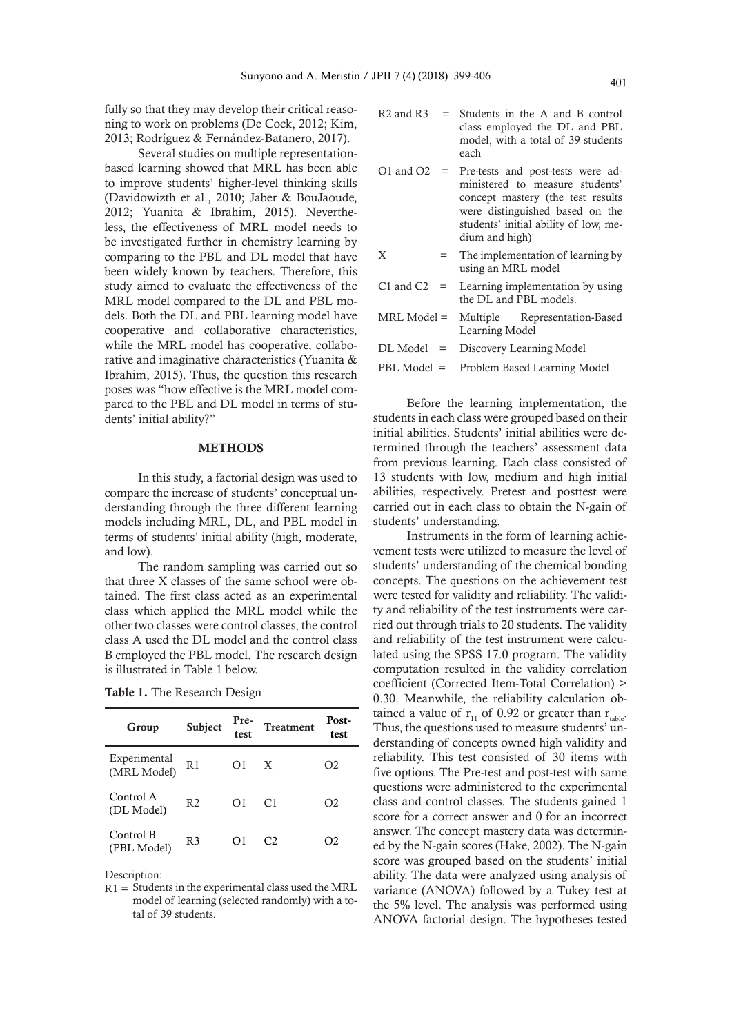fully so that they may develop their critical reasoning to work on problems (De Cock, 2012; Kim, 2013; Rodríguez & Fernández-Batanero, 2017).

Several studies on multiple representationbased learning showed that MRL has been able to improve students' higher-level thinking skills (Davidowizth et al., 2010; Jaber & BouJaoude, 2012; Yuanita & Ibrahim, 2015). Nevertheless, the effectiveness of MRL model needs to be investigated further in chemistry learning by comparing to the PBL and DL model that have been widely known by teachers. Therefore, this study aimed to evaluate the effectiveness of the MRL model compared to the DL and PBL models. Both the DL and PBL learning model have cooperative and collaborative characteristics, while the MRL model has cooperative, collaborative and imaginative characteristics (Yuanita & Ibrahim, 2015). Thus, the question this research poses was "how effective is the MRL model compared to the PBL and DL model in terms of students' initial ability?"

#### **METHODS**

In this study, a factorial design was used to compare the increase of students' conceptual understanding through the three different learning models including MRL, DL, and PBL model in terms of students' initial ability (high, moderate, and low).

The random sampling was carried out so that three X classes of the same school were obtained. The first class acted as an experimental class which applied the MRL model while the other two classes were control classes, the control class A used the DL model and the control class B employed the PBL model. The research design is illustrated in Table 1 below.

| Group                       | Subject        | Pre-<br>test | <b>Treatment</b> | Post-<br>test |
|-----------------------------|----------------|--------------|------------------|---------------|
| Experimental<br>(MRL Model) | R <sub>1</sub> | Ω1           | X                | O2            |
| Control A<br>(DL Model)     | R <sub>2</sub> | Ω1           | C <sub>1</sub>   | O2            |
| Control B<br>(PBL Model)    | R <sub>3</sub> | O1           | $\mathcal{C}$    | O2            |

|  |  | <b>Table 1.</b> The Research Design |  |
|--|--|-------------------------------------|--|
|--|--|-------------------------------------|--|

Description:

$$
R2 \text{ and } R3 = \text{Students in the A and B control class employed the DL and PBL model, with a total of 39 students each}
$$

- O1 and O2 = Pre-tests and post-tests were administered to measure students' concept mastery (the test results were distinguished based on the students' initial ability of low, medium and high)
- $X =$ The implementation of learning by using an MRL model
- C1 and C2  $=$  Learning implementation by using the DL and PBL models.
- MRL Model = Multiple Representation-Based Learning Model
- DL Model = Discovery Learning Model PBL Model = Problem Based Learning Model

Before the learning implementation, the students in each class were grouped based on their initial abilities. Students' initial abilities were determined through the teachers' assessment data from previous learning. Each class consisted of 13 students with low, medium and high initial abilities, respectively. Pretest and posttest were carried out in each class to obtain the N-gain of students' understanding.

Instruments in the form of learning achievement tests were utilized to measure the level of students' understanding of the chemical bonding concepts. The questions on the achievement test were tested for validity and reliability. The validity and reliability of the test instruments were carried out through trials to 20 students. The validity and reliability of the test instrument were calculated using the SPSS 17.0 program. The validity computation resulted in the validity correlation coefficient (Corrected Item-Total Correlation) > 0.30. Meanwhile, the reliability calculation obtained a value of  $r_{11}$  of 0.92 or greater than  $r_{table}$ . Thus, the questions used to measure students' understanding of concepts owned high validity and reliability. This test consisted of 30 items with five options. The Pre-test and post-test with same questions were administered to the experimental class and control classes. The students gained 1 score for a correct answer and 0 for an incorrect answer. The concept mastery data was determined by the N-gain scores (Hake, 2002). The N-gain score was grouped based on the students' initial ability. The data were analyzed using analysis of variance (ANOVA) followed by a Tukey test at the 5% level. The analysis was performed using ANOVA factorial design. The hypotheses tested

R1 = Students in the experimental class used the MRL model of learning (selected randomly) with a total of 39 students.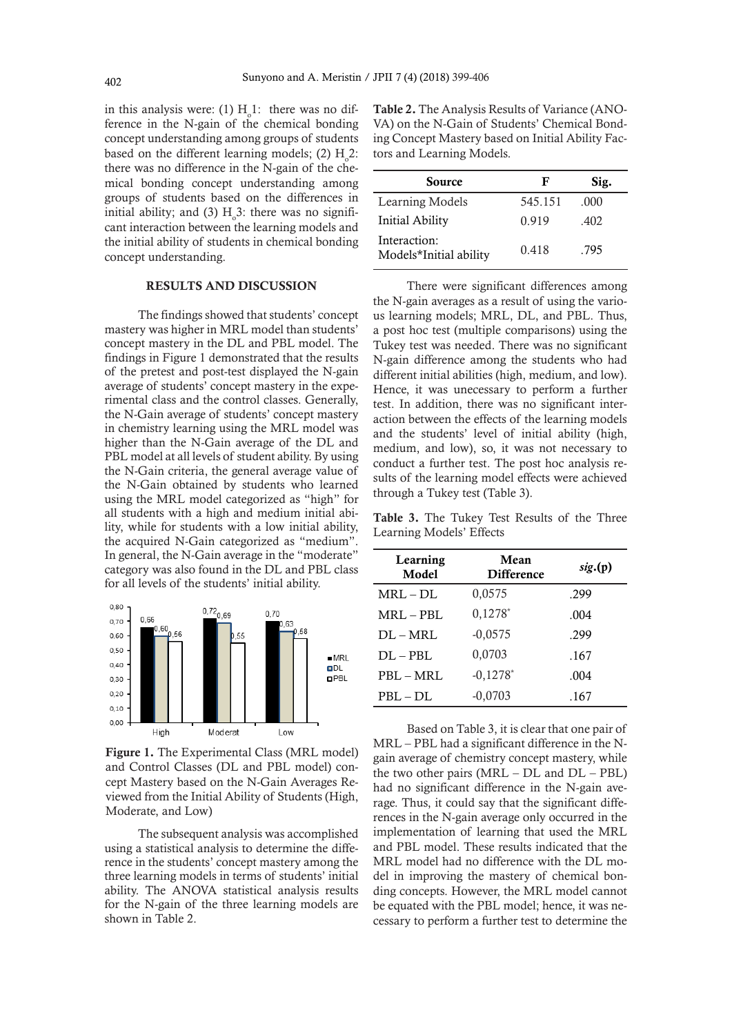in this analysis were: (1)  $H_0^1$ : there was no difference in the N-gain of the chemical bonding concept understanding among groups of students based on the different learning models; (2)  $H_0^2$ : there was no difference in the N-gain of the chemical bonding concept understanding among groups of students based on the differences in initial ability; and (3)  $H<sub>o</sub>3$ : there was no significant interaction between the learning models and the initial ability of students in chemical bonding concept understanding.

#### RESULTS AND DISCUSSION

The findings showed that students' concept mastery was higher in MRL model than students' concept mastery in the DL and PBL model. The findings in Figure 1 demonstrated that the results of the pretest and post-test displayed the N-gain average of students' concept mastery in the experimental class and the control classes. Generally, the N-Gain average of students' concept mastery in chemistry learning using the MRL model was higher than the N-Gain average of the DL and PBL model at all levels of student ability. By using the N-Gain criteria, the general average value of the N-Gain obtained by students who learned using the MRL model categorized as "high" for all students with a high and medium initial ability, while for students with a low initial ability, the acquired N-Gain categorized as "medium". In general, the N-Gain average in the "moderate" category was also found in the DL and PBL class for all levels of the students' initial ability.



Figure 1. The Experimental Class (MRL model) and Control Classes (DL and PBL model) concept Mastery based on the N-Gain Averages Reviewed from the Initial Ability of Students (High, Moderate, and Low)

The subsequent analysis was accomplished using a statistical analysis to determine the difference in the students' concept mastery among the three learning models in terms of students' initial ability. The ANOVA statistical analysis results for the N-gain of the three learning models are shown in Table 2.

Table 2. The Analysis Results of Variance (ANO-VA) on the N-Gain of Students' Chemical Bonding Concept Mastery based on Initial Ability Factors and Learning Models.

| Source                                 | F       | Sig.   |
|----------------------------------------|---------|--------|
| Learning Models                        | 545.151 | .000   |
| Initial Ability                        | 0.919   | $-402$ |
| Interaction:<br>Models*Initial ability | 0.418   | .795   |

There were significant differences among the N-gain averages as a result of using the various learning models; MRL, DL, and PBL. Thus, a post hoc test (multiple comparisons) using the Tukey test was needed. There was no significant N-gain difference among the students who had different initial abilities (high, medium, and low). Hence, it was unecessary to perform a further test. In addition, there was no significant interaction between the effects of the learning models and the students' level of initial ability (high, medium, and low), so, it was not necessary to conduct a further test. The post hoc analysis results of the learning model effects were achieved through a Tukey test (Table 3).

Table 3. The Tukey Test Results of the Three Learning Models' Effects

| Learning<br>Model | Mean<br><b>Difference</b> | sig.(p) |
|-------------------|---------------------------|---------|
| $MRL - DL$        | 0,0575                    | .299    |
| $MRL - PBL$       | $0,1278*$                 | .004    |
| $DL-MRL$          | $-0,0575$                 | .299    |
| $DL - PBL$        | 0,0703                    | .167    |
| PBL - MRL         | $-0,1278*$                | .004    |
| $PBL - DL$        | $-0,0703$                 | .167    |

Based on Table 3, it is clear that one pair of MRL – PBL had a significant difference in the Ngain average of chemistry concept mastery, while the two other pairs  $(MRL - DL$  and  $DL - PBL$ ) had no significant difference in the N-gain average. Thus, it could say that the significant differences in the N-gain average only occurred in the implementation of learning that used the MRL and PBL model. These results indicated that the MRL model had no difference with the DL model in improving the mastery of chemical bonding concepts. However, the MRL model cannot be equated with the PBL model; hence, it was necessary to perform a further test to determine the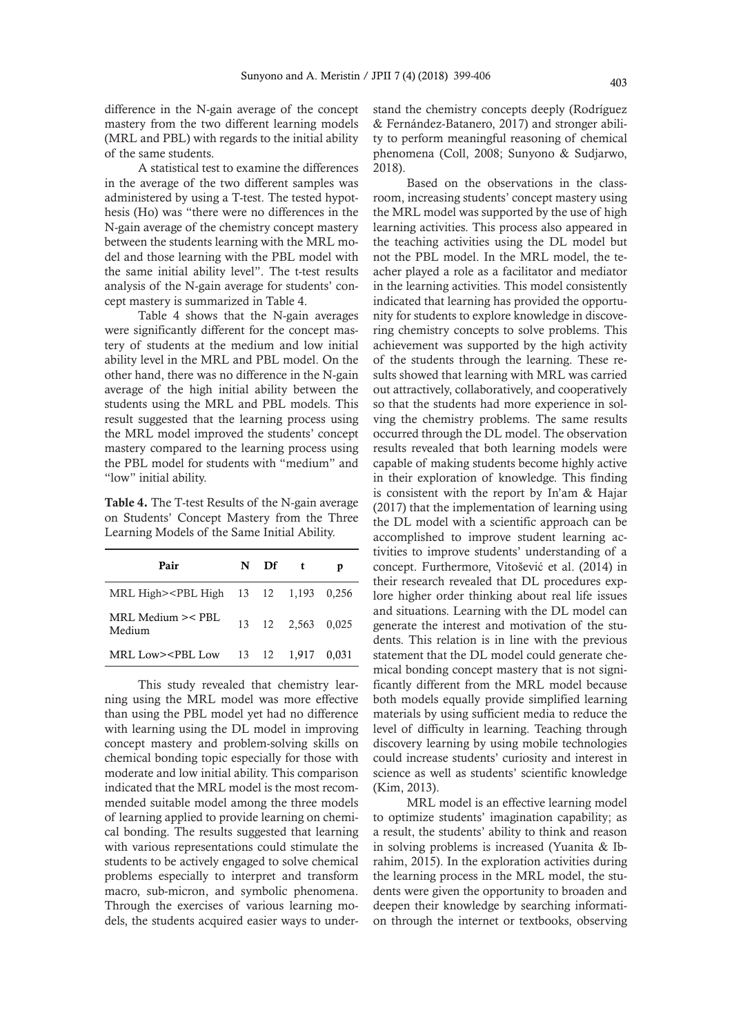difference in the N-gain average of the concept mastery from the two different learning models (MRL and PBL) with regards to the initial ability of the same students.

A statistical test to examine the differences in the average of the two different samples was administered by using a T-test. The tested hypothesis (Ho) was "there were no differences in the N-gain average of the chemistry concept mastery between the students learning with the MRL model and those learning with the PBL model with the same initial ability level". The t-test results analysis of the N-gain average for students' concept mastery is summarized in Table 4.

Table 4 shows that the N-gain averages were significantly different for the concept mastery of students at the medium and low initial ability level in the MRL and PBL model. On the other hand, there was no difference in the N-gain average of the high initial ability between the students using the MRL and PBL models. This result suggested that the learning process using the MRL model improved the students' concept mastery compared to the learning process using the PBL model for students with "medium" and "low" initial ability.

Table 4. The T-test Results of the N-gain average on Students' Concept Mastery from the Three Learning Models of the Same Initial Ability.

| Pair                                                                                          | $N$ Df t |                   |  |
|-----------------------------------------------------------------------------------------------|----------|-------------------|--|
| MRL High> <pbl 0,256<="" 1,193="" 12="" 13="" high="" td=""><td></td><td></td><td></td></pbl> |          |                   |  |
| MRL Medium >< PBL<br>Medium                                                                   |          | 13 12 2,563 0,025 |  |
| MRL Low> <pbl 0,031<="" 1,917="" 12="" 13="" low="" td=""><td></td><td></td><td></td></pbl>   |          |                   |  |

This study revealed that chemistry learning using the MRL model was more effective than using the PBL model yet had no difference with learning using the DL model in improving concept mastery and problem-solving skills on chemical bonding topic especially for those with moderate and low initial ability. This comparison indicated that the MRL model is the most recommended suitable model among the three models of learning applied to provide learning on chemical bonding. The results suggested that learning with various representations could stimulate the students to be actively engaged to solve chemical problems especially to interpret and transform macro, sub-micron, and symbolic phenomena. Through the exercises of various learning models, the students acquired easier ways to understand the chemistry concepts deeply (Rodríguez & Fernández-Batanero, 2017) and stronger ability to perform meaningful reasoning of chemical phenomena (Coll, 2008; Sunyono & Sudjarwo, 2018).

Based on the observations in the classroom, increasing students' concept mastery using the MRL model was supported by the use of high learning activities. This process also appeared in the teaching activities using the DL model but not the PBL model. In the MRL model, the teacher played a role as a facilitator and mediator in the learning activities. This model consistently indicated that learning has provided the opportunity for students to explore knowledge in discovering chemistry concepts to solve problems. This achievement was supported by the high activity of the students through the learning. These results showed that learning with MRL was carried out attractively, collaboratively, and cooperatively so that the students had more experience in solving the chemistry problems. The same results occurred through the DL model. The observation results revealed that both learning models were capable of making students become highly active in their exploration of knowledge. This finding is consistent with the report by In'am & Hajar (2017) that the implementation of learning using the DL model with a scientific approach can be accomplished to improve student learning activities to improve students' understanding of a concept. Furthermore, Vitošević et al. (2014) in their research revealed that DL procedures explore higher order thinking about real life issues and situations. Learning with the DL model can generate the interest and motivation of the students. This relation is in line with the previous statement that the DL model could generate chemical bonding concept mastery that is not significantly different from the MRL model because both models equally provide simplified learning materials by using sufficient media to reduce the level of difficulty in learning. Teaching through discovery learning by using mobile technologies could increase students' curiosity and interest in science as well as students' scientific knowledge (Kim, 2013).

MRL model is an effective learning model to optimize students' imagination capability; as a result, the students' ability to think and reason in solving problems is increased (Yuanita & Ibrahim, 2015). In the exploration activities during the learning process in the MRL model, the students were given the opportunity to broaden and deepen their knowledge by searching information through the internet or textbooks, observing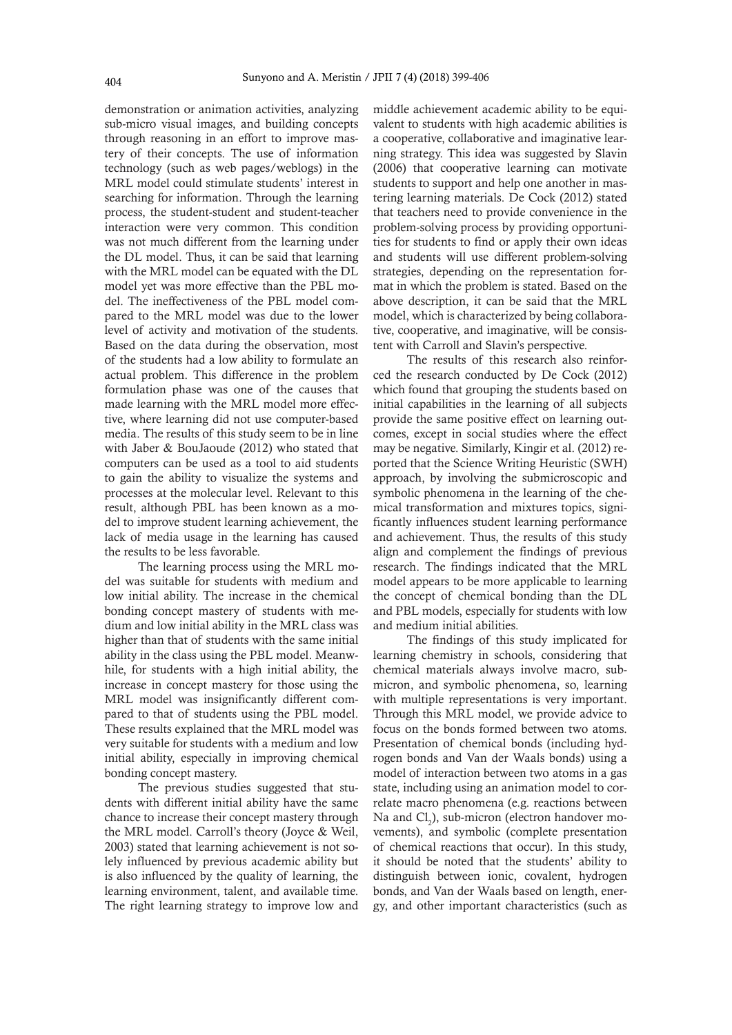demonstration or animation activities, analyzing sub-micro visual images, and building concepts through reasoning in an effort to improve mastery of their concepts. The use of information technology (such as web pages/weblogs) in the MRL model could stimulate students' interest in searching for information. Through the learning process, the student-student and student-teacher interaction were very common. This condition was not much different from the learning under the DL model. Thus, it can be said that learning with the MRL model can be equated with the DL model yet was more effective than the PBL model. The ineffectiveness of the PBL model compared to the MRL model was due to the lower level of activity and motivation of the students. Based on the data during the observation, most of the students had a low ability to formulate an actual problem. This difference in the problem formulation phase was one of the causes that made learning with the MRL model more effective, where learning did not use computer-based media. The results of this study seem to be in line with Jaber & BouJaoude (2012) who stated that computers can be used as a tool to aid students to gain the ability to visualize the systems and processes at the molecular level. Relevant to this result, although PBL has been known as a model to improve student learning achievement, the lack of media usage in the learning has caused the results to be less favorable.

The learning process using the MRL model was suitable for students with medium and low initial ability. The increase in the chemical bonding concept mastery of students with medium and low initial ability in the MRL class was higher than that of students with the same initial ability in the class using the PBL model. Meanwhile, for students with a high initial ability, the increase in concept mastery for those using the MRL model was insignificantly different compared to that of students using the PBL model. These results explained that the MRL model was very suitable for students with a medium and low initial ability, especially in improving chemical bonding concept mastery.

The previous studies suggested that students with different initial ability have the same chance to increase their concept mastery through the MRL model. Carroll's theory (Joyce & Weil, 2003) stated that learning achievement is not solely influenced by previous academic ability but is also influenced by the quality of learning, the learning environment, talent, and available time. The right learning strategy to improve low and

middle achievement academic ability to be equivalent to students with high academic abilities is a cooperative, collaborative and imaginative learning strategy. This idea was suggested by Slavin (2006) that cooperative learning can motivate students to support and help one another in mastering learning materials. De Cock (2012) stated that teachers need to provide convenience in the problem-solving process by providing opportunities for students to find or apply their own ideas and students will use different problem-solving strategies, depending on the representation format in which the problem is stated. Based on the above description, it can be said that the MRL model, which is characterized by being collaborative, cooperative, and imaginative, will be consistent with Carroll and Slavin's perspective.

The results of this research also reinforced the research conducted by De Cock (2012) which found that grouping the students based on initial capabilities in the learning of all subjects provide the same positive effect on learning outcomes, except in social studies where the effect may be negative. Similarly, Kingir et al. (2012) reported that the Science Writing Heuristic (SWH) approach, by involving the submicroscopic and symbolic phenomena in the learning of the chemical transformation and mixtures topics, significantly influences student learning performance and achievement. Thus, the results of this study align and complement the findings of previous research. The findings indicated that the MRL model appears to be more applicable to learning the concept of chemical bonding than the DL and PBL models, especially for students with low and medium initial abilities.

The findings of this study implicated for learning chemistry in schools, considering that chemical materials always involve macro, submicron, and symbolic phenomena, so, learning with multiple representations is very important. Through this MRL model, we provide advice to focus on the bonds formed between two atoms. Presentation of chemical bonds (including hydrogen bonds and Van der Waals bonds) using a model of interaction between two atoms in a gas state, including using an animation model to correlate macro phenomena (e.g. reactions between Na and  $Cl_2$ ), sub-micron (electron handover movements), and symbolic (complete presentation of chemical reactions that occur). In this study, it should be noted that the students' ability to distinguish between ionic, covalent, hydrogen bonds, and Van der Waals based on length, energy, and other important characteristics (such as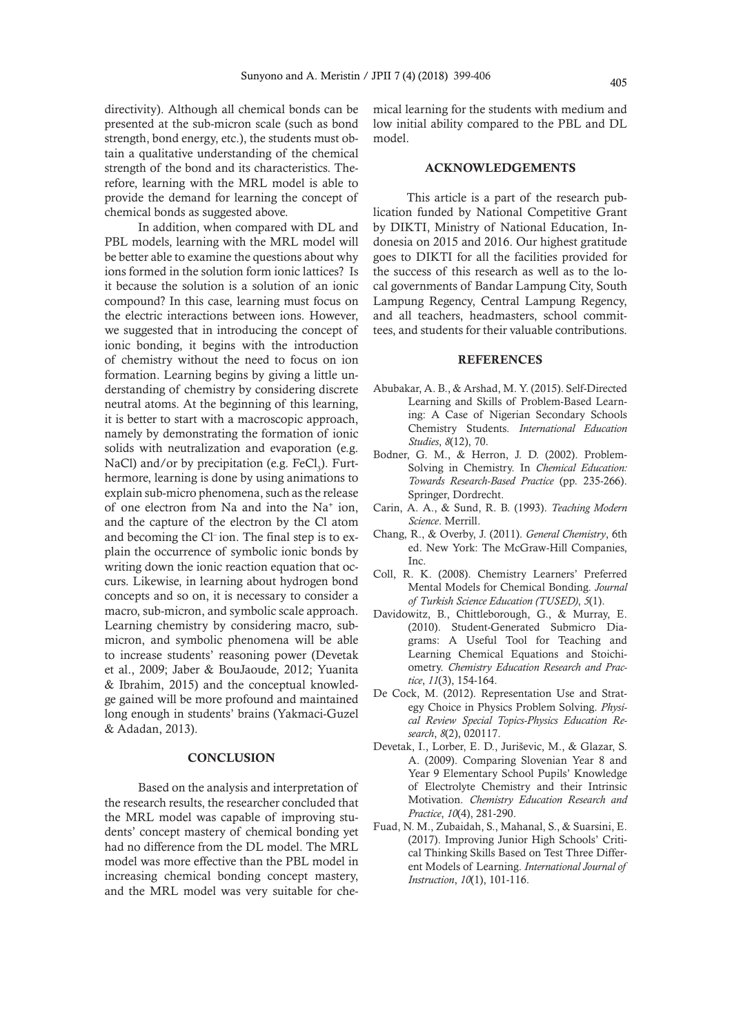directivity). Although all chemical bonds can be presented at the sub-micron scale (such as bond strength, bond energy, etc.), the students must obtain a qualitative understanding of the chemical strength of the bond and its characteristics. Therefore, learning with the MRL model is able to provide the demand for learning the concept of chemical bonds as suggested above.

In addition, when compared with DL and PBL models, learning with the MRL model will be better able to examine the questions about why ions formed in the solution form ionic lattices? Is it because the solution is a solution of an ionic compound? In this case, learning must focus on the electric interactions between ions. However, we suggested that in introducing the concept of ionic bonding, it begins with the introduction of chemistry without the need to focus on ion formation. Learning begins by giving a little understanding of chemistry by considering discrete neutral atoms. At the beginning of this learning, it is better to start with a macroscopic approach, namely by demonstrating the formation of ionic solids with neutralization and evaporation (e.g. NaCl) and/or by precipitation (e.g. FeCl<sub>3</sub>). Furthermore, learning is done by using animations to explain sub-micro phenomena, such as the release of one electron from Na and into the Na+ ion, and the capture of the electron by the Cl atom and becoming the Cl– ion. The final step is to explain the occurrence of symbolic ionic bonds by writing down the ionic reaction equation that occurs. Likewise, in learning about hydrogen bond concepts and so on, it is necessary to consider a macro, sub-micron, and symbolic scale approach. Learning chemistry by considering macro, submicron, and symbolic phenomena will be able to increase students' reasoning power (Devetak et al., 2009; Jaber & BouJaoude, 2012; Yuanita & Ibrahim, 2015) and the conceptual knowledge gained will be more profound and maintained long enough in students' brains (Yakmaci-Guzel & Adadan, 2013).

### **CONCLUSION**

Based on the analysis and interpretation of the research results, the researcher concluded that the MRL model was capable of improving students' concept mastery of chemical bonding yet had no difference from the DL model. The MRL model was more effective than the PBL model in increasing chemical bonding concept mastery, and the MRL model was very suitable for chemical learning for the students with medium and low initial ability compared to the PBL and DL model.

## ACKNOWLEDGEMENTS

This article is a part of the research publication funded by National Competitive Grant by DIKTI, Ministry of National Education, Indonesia on 2015 and 2016. Our highest gratitude goes to DIKTI for all the facilities provided for the success of this research as well as to the local governments of Bandar Lampung City, South Lampung Regency, Central Lampung Regency, and all teachers, headmasters, school committees, and students for their valuable contributions.

### **REFERENCES**

- Abubakar, A. B., & Arshad, M. Y. (2015). Self-Directed Learning and Skills of Problem-Based Learning: A Case of Nigerian Secondary Schools Chemistry Students. *International Education Studies*, *8*(12), 70.
- Bodner, G. M., & Herron, J. D. (2002). Problem-Solving in Chemistry. In *Chemical Education: Towards Research-Based Practice* (pp. 235-266). Springer, Dordrecht.
- Carin, A. A., & Sund, R. B. (1993). *Teaching Modern Science*. Merrill.
- Chang, R., & Overby, J. (2011). *General Chemistry*, 6th ed. New York: The McGraw-Hill Companies, Inc.
- Coll, R. K. (2008). Chemistry Learners' Preferred Mental Models for Chemical Bonding. *Journal of Turkish Science Education (TUSED)*, *5*(1).
- Davidowitz, B., Chittleborough, G., & Murray, E. (2010). Student-Generated Submicro Diagrams: A Useful Tool for Teaching and Learning Chemical Equations and Stoichiometry. *Chemistry Education Research and Practice*, *11*(3), 154-164.
- De Cock, M. (2012). Representation Use and Strategy Choice in Physics Problem Solving. *Physical Review Special Topics-Physics Education Research*, *8*(2), 020117.
- Devetak, I., Lorber, E. D., Juriševic, M., & Glazar, S. A. (2009). Comparing Slovenian Year 8 and Year 9 Elementary School Pupils' Knowledge of Electrolyte Chemistry and their Intrinsic Motivation. *Chemistry Education Research and Practice*, *10*(4), 281-290.
- Fuad, N. M., Zubaidah, S., Mahanal, S., & Suarsini, E. (2017). Improving Junior High Schools' Critical Thinking Skills Based on Test Three Different Models of Learning. *International Journal of Instruction*, *10*(1), 101-116.